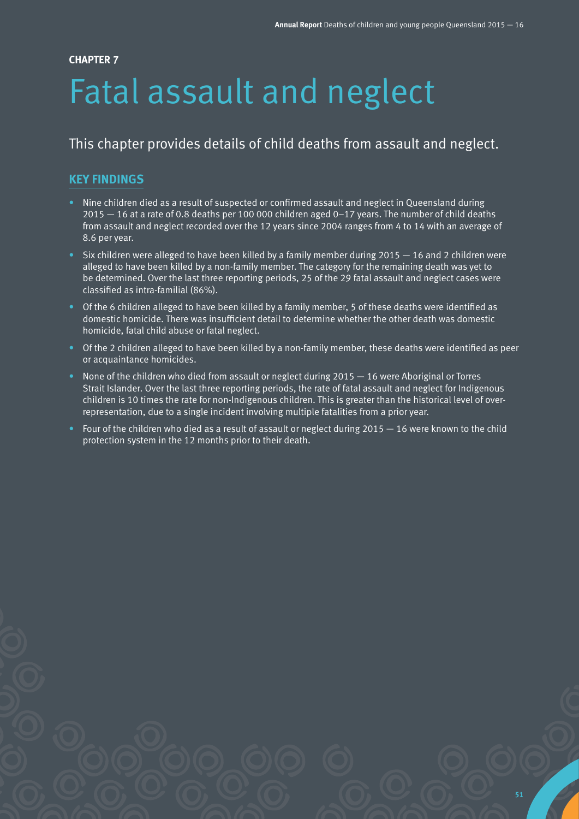#### **CHAPTER 7**

# Fatal assault and neglect

## This chapter provides details of child deaths from assault and neglect.

## **KEY FINDINGS**

- Nine children died as a result of suspected or confirmed assault and neglect in Queensland during 2015 — 16 at a rate of 0.8 deaths per 100 000 children aged 0–17 years. The number of child deaths from assault and neglect recorded over the 12 years since 2004 ranges from 4 to 14 with an average of 8.6 per year.
- Six children were alleged to have been killed by a family member during  $2015 16$  and 2 children were alleged to have been killed by a non-family member. The category for the remaining death was yet to be determined. Over the last three reporting periods, 25 of the 29 fatal assault and neglect cases were classified as intra-familial (86%).
- Of the 6 children alleged to have been killed by a family member, 5 of these deaths were identified as domestic homicide. There was insufficient detail to determine whether the other death was domestic homicide, fatal child abuse or fatal neglect.
- Of the 2 children alleged to have been killed by a non-family member, these deaths were identified as peer or acquaintance homicides.
- None of the children who died from assault or neglect during 2015 16 were Aboriginal or Torres Strait Islander. Over the last three reporting periods, the rate of fatal assault and neglect for Indigenous children is 10 times the rate for non-Indigenous children. This is greater than the historical level of overrepresentation, due to a single incident involving multiple fatalities from a prior year.
- Four of the children who died as a result of assault or neglect during 2015 16 were known to the child protection system in the 12 months prior to their death.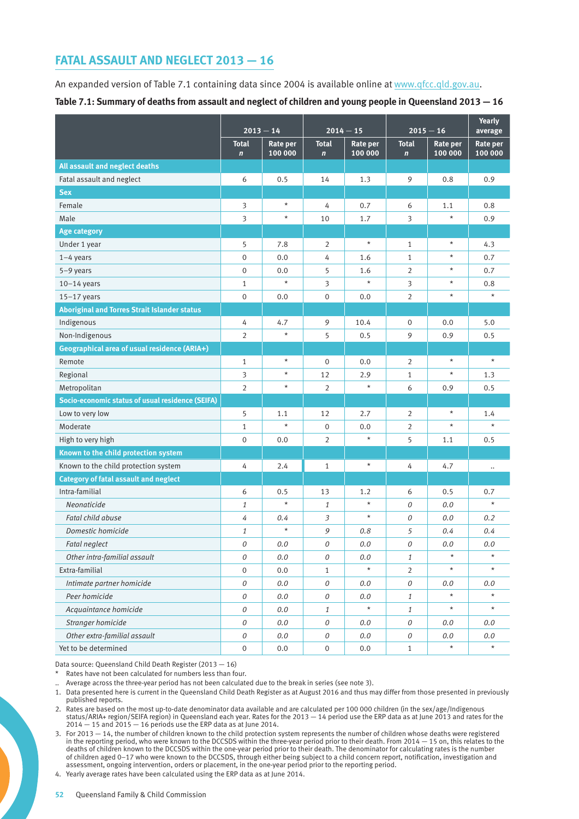## **FATAL ASSAULT AND NEGLECT 2013 — 16**

An expanded version of Table 7.1 containing data since 2004 is available online at [www.qfcc.qld.gov.au](http://www.qfcc.qld.gov.au). **Table 7.1: Summary of deaths from assault and neglect of children and young people in Queensland 2013 — 16**

|                                                     | $2013 - 14$                 |                     | $2014 - 15$                  |                            | $2015 - 16$                 |                            | <b>Yearly</b><br>average |
|-----------------------------------------------------|-----------------------------|---------------------|------------------------------|----------------------------|-----------------------------|----------------------------|--------------------------|
|                                                     | <b>Total</b><br>$\mathbf n$ | Rate per<br>100 000 | <b>Total</b><br>$\mathbf{n}$ | <b>Rate per</b><br>100 000 | <b>Total</b><br>$\mathbf n$ | <b>Rate per</b><br>100 000 | Rate per<br>100 000      |
| All assault and neglect deaths                      |                             |                     |                              |                            |                             |                            |                          |
| Fatal assault and neglect                           | 6                           | 0.5                 | 14                           | 1.3                        | 9                           | 0.8                        | 0.9                      |
| <b>Sex</b>                                          |                             |                     |                              |                            |                             |                            |                          |
| Female                                              | 3                           | $\star$             | 4                            | 0.7                        | 6                           | 1.1                        | 0.8                      |
| Male                                                | 3                           | $\star$             | 10                           | 1.7                        | 3                           | $\star$                    | 0.9                      |
| <b>Age category</b>                                 |                             |                     |                              |                            |                             |                            |                          |
| Under 1 year                                        | 5                           | 7.8                 | 2                            | $\star$                    | $\mathbf{1}$                | $\star$                    | 4.3                      |
| $1-4$ years                                         | $\boldsymbol{0}$            | 0.0                 | 4                            | 1.6                        | $\mathbf{1}$                | $\star$                    | 0.7                      |
| $5-9$ years                                         | $\mathbf{0}$                | 0.0                 | 5                            | 1.6                        | $\overline{2}$              | $\star$                    | 0.7                      |
| $10-14$ years                                       | 1                           | $\star$             | 3                            | $\star$                    | 3                           | $\star$                    | 0.8                      |
| $15-17$ years                                       | $\mathbf{0}$                | 0.0                 | $\mathbf{0}$                 | 0.0                        | $\overline{2}$              | $\star$                    |                          |
| <b>Aboriginal and Torres Strait Islander status</b> |                             |                     |                              |                            |                             |                            |                          |
| Indigenous                                          | 4                           | 4.7                 | 9                            | 10.4                       | $\mathbf 0$                 | 0.0                        | 5.0                      |
| Non-Indigenous                                      | $\overline{2}$              | $\star$             | 5                            | 0.5                        | 9                           | 0.9                        | 0.5                      |
| Geographical area of usual residence (ARIA+)        |                             |                     |                              |                            |                             |                            |                          |
| Remote                                              | $\mathbf{1}$                | $\star$             | $\overline{0}$               | 0.0                        | 2                           | $\star$                    | $\star$                  |
| Regional                                            | 3                           | $\star$             | 12                           | 2.9                        | $\mathbf{1}$                | $\star$                    | 1.3                      |
| Metropolitan                                        | 2                           | $\star$             | 2                            | $\star$                    | 6                           | 0.9                        | 0.5                      |
| Socio-economic status of usual residence (SEIFA)    |                             |                     |                              |                            |                             |                            |                          |
| Low to very low                                     | 5                           | 1.1                 | 12                           | 2.7                        | 2                           | $\star$                    | 1.4                      |
| Moderate                                            | 1                           | $\star$             | $\mathbf 0$                  | 0.0                        | 2                           | $\star$                    | $\star$                  |
| High to very high                                   | $\mathbf 0$                 | 0.0                 | $\overline{2}$               | $\star$                    | 5                           | 1.1                        | 0.5                      |
| Known to the child protection system                |                             |                     |                              |                            |                             |                            |                          |
| Known to the child protection system                | 4                           | 2.4                 | $\mathbf{1}$                 | $\star$                    | 4                           | 4.7                        | $\ddotsc$                |
| <b>Category of fatal assault and neglect</b>        |                             |                     |                              |                            |                             |                            |                          |
| Intra-familial                                      | 6                           | 0.5                 | 13                           | 1.2                        | 6                           | 0.5                        | 0.7                      |
| Neonaticide                                         | 1                           | $\star$             | $\mathbf{1}$                 | $\star$                    | 0                           | 0.0                        | $^\star$                 |
| Fatal child abuse                                   | 4                           | 0.4                 | 3                            | $\star$                    | 0                           | 0.0                        | 0.2                      |
| Domestic homicide                                   | 1                           | $\star$             | 9                            | 0.8                        | 5                           | 0.4                        | 0.4                      |
| Fatal neglect                                       | 0                           | 0.0                 | 0                            | 0.0                        | 0                           | $0.0$                      | 0.0                      |
| Other intra-familial assault                        | 0                           | $0.0\,$             | 0                            | 0.0                        | $1\,$                       | $\star$                    | $\star$                  |
| Extra-familial                                      | $\boldsymbol{0}$            | $0.0\,$             | $\mathbf{1}$                 | $\star$                    | $\overline{2}$              | $^\star$                   | $\star$                  |
| Intimate partner homicide                           | 0                           | $0.0$               | 0                            | 0.0                        | 0                           | $0.0\,$                    | 0.0                      |
| Peer homicide                                       | 0                           | $0.0\,$             | 0                            | 0.0                        | $\mathbf{1}$                | $\star$                    | $\star$                  |
| Acquaintance homicide                               | 0                           | $0.0$               | $\mathbf{1}$                 | $\star$                    | $\mathbf{1}$                | $\star$                    | $\star$                  |
| Stranger homicide                                   | ${\cal O}$                  | $0.0\,$             | ${\cal O}$                   | 0.0                        | ${\cal O}$                  | 0.0                        | 0.0                      |
| Other extra-familial assault                        | ${\cal O}$                  | $0.0$               | ${\cal O}$                   | $0.0\,$                    | ${\cal O}$                  | 0.0                        | $0.0\,$                  |
| Yet to be determined                                | $\,0\,$                     | $0.0\,$             | $\boldsymbol{0}$             | $0.0\,$                    | $\mathbf{1}$                | $\star$                    | $\star$                  |

Data source: Queensland Child Death Register (2013 — 16)

Rates have not been calculated for numbers less than four.

Average across the three-year period has not been calculated due to the break in series (see note 3).

1. Data presented here is current in the Queensland Child Death Register as at August 2016 and thus may differ from those presented in previously published reports.

2. Rates are based on the most up-to-date denominator data available and are calculated per 100 000 children (in the sex/age/Indigenous status/ARIA+ region/SEIFA region) in Queensland each year. Rates for the 2013 — 14 period use the ERP data as at June 2013 and rates for the  $2014 - 15$  and  $2015 - 16$  periods use the ERP data as at June 2014.

3. For 2013 — 14, the number of children known to the child protection system represents the number of children whose deaths were registered in the reporting period, who were known to the DCCSDS within the three-year period prior to their death. From 2014 — 15 on, this relates to the deaths of children known to the DCCSDS within the one-year period prior to their death. The denominator for calculating rates is the number of children aged 0–17 who were known to the DCCSDS, through either being subject to a child concern report, notification, investigation and assessment, ongoing intervention, orders or placement, in the one-year period prior to the reporting period.

4. Yearly average rates have been calculated using the ERP data as at June 2014.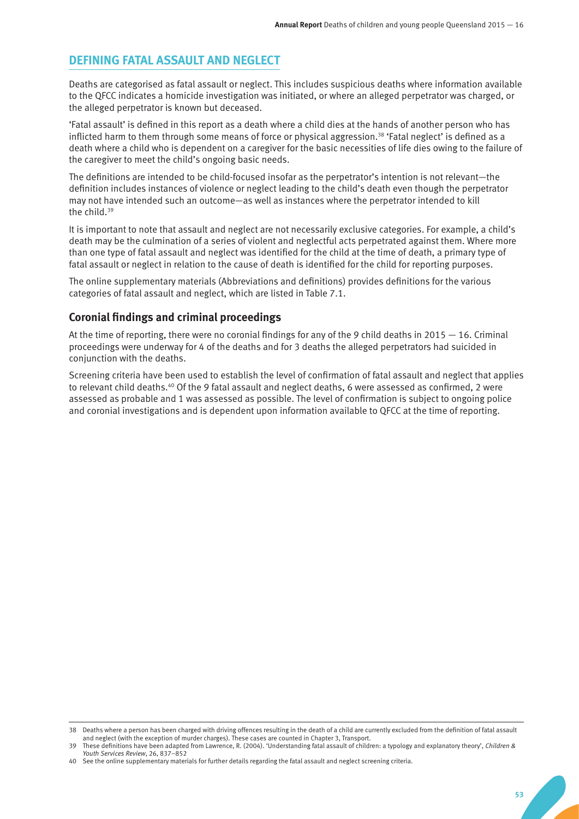### **DEFINING FATAL ASSAULT AND NEGLECT**

Deaths are categorised as fatal assault or neglect. This includes suspicious deaths where information available to the QFCC indicates a homicide investigation was initiated, or where an alleged perpetrator was charged, or the alleged perpetrator is known but deceased.

'Fatal assault' is defined in this report as a death where a child dies at the hands of another person who has inflicted harm to them through some means of force or physical aggression.<sup>38</sup> 'Fatal neglect' is defined as a death where a child who is dependent on a caregiver for the basic necessities of life dies owing to the failure of the caregiver to meet the child's ongoing basic needs.

The definitions are intended to be child-focused insofar as the perpetrator's intention is not relevant—the definition includes instances of violence or neglect leading to the child's death even though the perpetrator may not have intended such an outcome—as well as instances where the perpetrator intended to kill the child.<sup>39</sup>

It is important to note that assault and neglect are not necessarily exclusive categories. For example, a child's death may be the culmination of a series of violent and neglectful acts perpetrated against them. Where more than one type of fatal assault and neglect was identified for the child at the time of death, a primary type of fatal assault or neglect in relation to the cause of death is identified for the child for reporting purposes.

The online supplementary materials (Abbreviations and definitions) provides definitions for the various categories of fatal assault and neglect, which are listed in Table 7.1.

#### **Coronial findings and criminal proceedings**

At the time of reporting, there were no coronial findings for any of the 9 child deaths in 2015 — 16. Criminal proceedings were underway for 4 of the deaths and for 3 deaths the alleged perpetrators had suicided in conjunction with the deaths.

Screening criteria have been used to establish the level of confirmation of fatal assault and neglect that applies to relevant child deaths.<sup>40</sup> Of the 9 fatal assault and neglect deaths, 6 were assessed as confirmed, 2 were assessed as probable and 1 was assessed as possible. The level of confirmation is subject to ongoing police and coronial investigations and is dependent upon information available to QFCC at the time of reporting.

<sup>38</sup> Deaths where a person has been charged with driving offences resulting in the death of a child are currently excluded from the definition of fatal assault and neglect (with the exception of murder charges). These cases are counted in Chapter 3, Transport.

<sup>39</sup> These definitions have been adapted from Lawrence, R. (2004). 'Understanding fatal assault of children: a typology and explanatory theory', *Children & Youth Services Review*, 26, 837–852

<sup>40</sup> See the online supplementary materials for further details regarding the fatal assault and neglect screening criteria.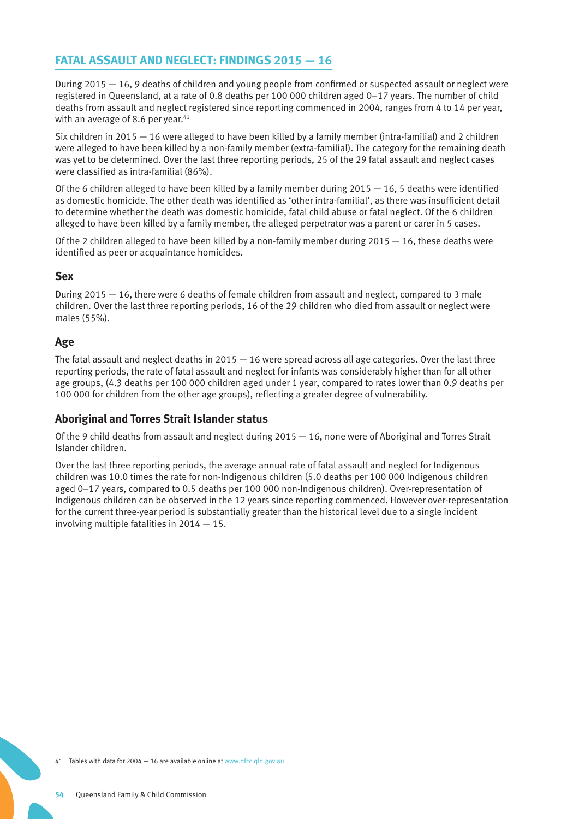## **FATAL ASSAULT AND NEGLECT: FINDINGS 2015 — 16**

During 2015 — 16, 9 deaths of children and young people from confirmed or suspected assault or neglect were registered in Queensland, at a rate of 0.8 deaths per 100 000 children aged 0–17 years. The number of child deaths from assault and neglect registered since reporting commenced in 2004, ranges from 4 to 14 per year, with an average of 8.6 per year. $41$ 

Six children in 2015 — 16 were alleged to have been killed by a family member (intra-familial) and 2 children were alleged to have been killed by a non-family member (extra-familial). The category for the remaining death was yet to be determined. Over the last three reporting periods, 25 of the 29 fatal assault and neglect cases were classified as intra-familial (86%).

Of the 6 children alleged to have been killed by a family member during  $2015 - 16$ , 5 deaths were identified as domestic homicide. The other death was identified as 'other intra-familial', as there was insufficient detail to determine whether the death was domestic homicide, fatal child abuse or fatal neglect. Of the 6 children alleged to have been killed by a family member, the alleged perpetrator was a parent or carer in 5 cases.

Of the 2 children alleged to have been killed by a non-family member during  $2015 - 16$ , these deaths were identified as peer or acquaintance homicides.

#### **Sex**

During 2015 — 16, there were 6 deaths of female children from assault and neglect, compared to 3 male children. Over the last three reporting periods, 16 of the 29 children who died from assault or neglect were males (55%).

#### **Age**

The fatal assault and neglect deaths in  $2015 - 16$  were spread across all age categories. Over the last three reporting periods, the rate of fatal assault and neglect for infants was considerably higher than for all other age groups, (4.3 deaths per 100 000 children aged under 1 year, compared to rates lower than 0.9 deaths per 100 000 for children from the other age groups), reflecting a greater degree of vulnerability.

#### **Aboriginal and Torres Strait Islander status**

Of the 9 child deaths from assault and neglect during 2015 — 16, none were of Aboriginal and Torres Strait Islander children.

Over the last three reporting periods, the average annual rate of fatal assault and neglect for Indigenous children was 10.0 times the rate for non-Indigenous children (5.0 deaths per 100 000 Indigenous children aged 0–17 years, compared to 0.5 deaths per 100 000 non-Indigenous children). Over-representation of Indigenous children can be observed in the 12 years since reporting commenced. However over-representation for the current three-year period is substantially greater than the historical level due to a single incident involving multiple fatalities in 2014 — 15.

41 Tables with data for 2004 - 16 are available online at [www.qfcc.qld.gov.au](http://www.qfcc.qld.gov.au)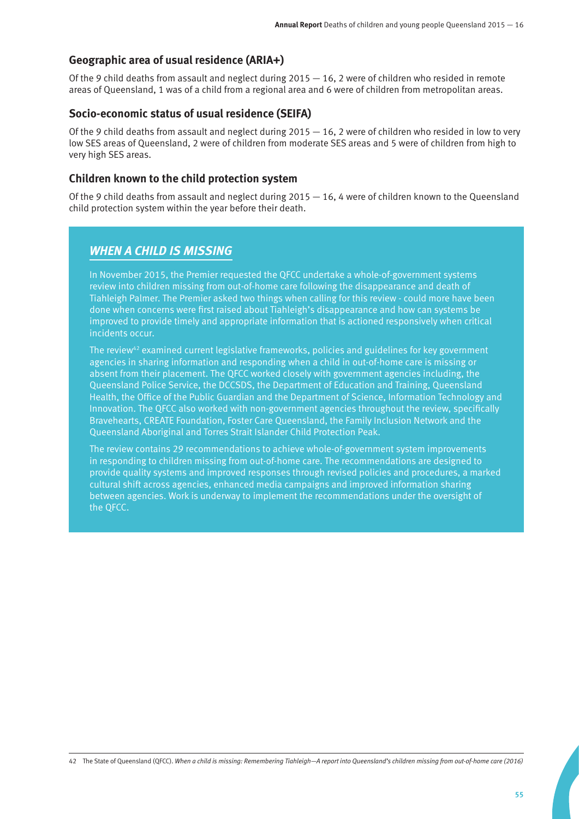#### **Geographic area of usual residence (ARIA+)**

Of the 9 child deaths from assault and neglect during  $2015 - 16$ , 2 were of children who resided in remote areas of Queensland, 1 was of a child from a regional area and 6 were of children from metropolitan areas.

#### **Socio-economic status of usual residence (SEIFA)**

Of the 9 child deaths from assault and neglect during  $2015 - 16$ , 2 were of children who resided in low to very low SES areas of Queensland, 2 were of children from moderate SES areas and 5 were of children from high to very high SES areas.

#### **Children known to the child protection system**

Of the 9 child deaths from assault and neglect during  $2015 - 16$ , 4 were of children known to the Queensland child protection system within the year before their death.

## *WHEN A CHILD IS MISSING*

In November 2015, the Premier requested the QFCC undertake a whole-of-government systems review into children missing from out-of-home care following the disappearance and death of Tiahleigh Palmer. The Premier asked two things when calling for this review - could more have been done when concerns were first raised about Tiahleigh's disappearance and how can systems be improved to provide timely and appropriate information that is actioned responsively when critical incidents occur.

The review<sup>42</sup> examined current legislative frameworks, policies and guidelines for key government agencies in sharing information and responding when a child in out-of-home care is missing or absent from their placement. The QFCC worked closely with government agencies including, the Queensland Police Service, the DCCSDS, the Department of Education and Training, Queensland Health, the Office of the Public Guardian and the Department of Science, Information Technology and Innovation. The QFCC also worked with non-government agencies throughout the review, specifically Bravehearts, CREATE Foundation, Foster Care Queensland, the Family Inclusion Network and the Queensland Aboriginal and Torres Strait Islander Child Protection Peak.

The review contains 29 recommendations to achieve whole-of-government system improvements in responding to children missing from out-of-home care. The recommendations are designed to provide quality systems and improved responses through revised policies and procedures, a marked cultural shift across agencies, enhanced media campaigns and improved information sharing between agencies. Work is underway to implement the recommendations under the oversight of the QFCC.

42 The State of Queensland (QFCC). *When a child is missing: Remembering Tiahleigh—A report into Queensland's children missing from out-of-home care (2016)*